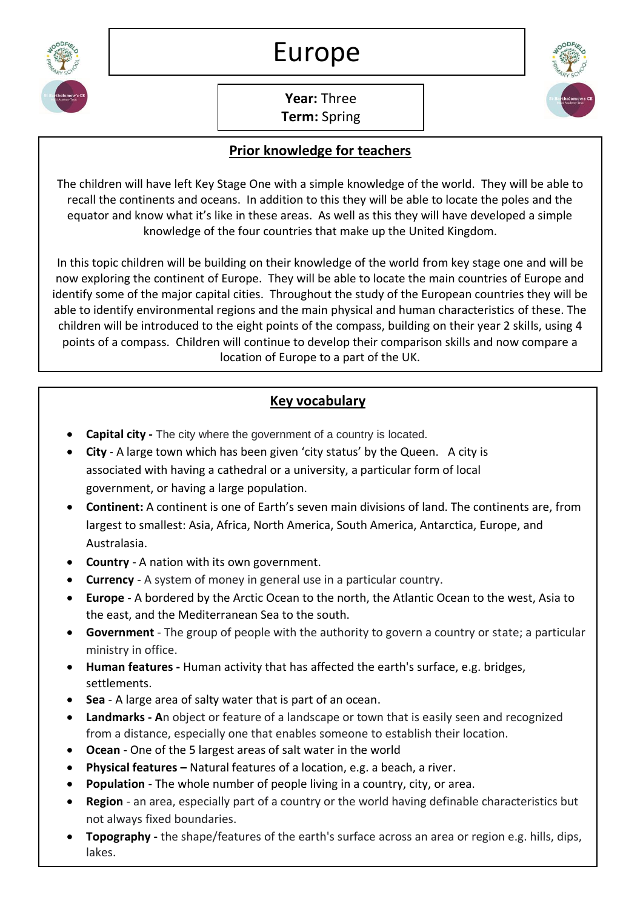

**Year:** Three **Term:** Spring

## **Prior knowledge for teachers**

The children will have left Key Stage One with a simple knowledge of the world. They will be able to recall the continents and oceans. In addition to this they will be able to locate the poles and the equator and know what it's like in these areas. As well as this they will have developed a simple knowledge of the four countries that make up the United Kingdom.

In this topic children will be building on their knowledge of the world from key stage one and will be now exploring the continent of Europe. They will be able to locate the main countries of Europe and identify some of the major capital cities. Throughout the study of the European countries they will be able to identify environmental regions and the main physical and human characteristics of these. The children will be introduced to the eight points of the compass, building on their year 2 skills, using 4 points of a compass. Children will continue to develop their comparison skills and now compare a location of Europe to a part of the UK.

## **Key vocabulary**

- **Capital city -** The city where the government of a country is located.
- **City**  A large town which has been given 'city status' by the Queen. A city is associated with having a cathedral or a university, a particular form of local government, or having a large population.
- **Continent:** A continent is one of Earth's seven main divisions of land. The continents are, from largest to smallest: Asia, Africa, North America, South America, Antarctica, Europe, and Australasia.
- **Country** A nation with its own government.
- **Currency**  A system of money in general use in a particular country.
- **Europe** A bordered by the Arctic Ocean to the north, the Atlantic Ocean to the west, Asia to the east, and the Mediterranean Sea to the south.
- **Government**  The group of people with the authority to govern a country or state; a particular ministry in office.
- **Human features -** Human activity that has affected the earth's surface, e.g. bridges, settlements.
- **Sea** A large area of salty water that is part of an ocean.
- **Landmarks - A**n object or feature of a landscape or town that is easily seen and recognized from a distance, especially one that enables someone to establish their location.
- **Ocean** One of the 5 largest areas of salt water in the world
- **Physical features –** Natural features of a location, e.g. a beach, a river.
- **Population** The whole number of people living in a country, city, or area.
- **Region**  an area, especially part of a country or the world having definable characteristics but not always fixed boundaries.
- **Topography -** the shape/features of the earth's surface across an area or region e.g. hills, dips, lakes.

• **United Kingdom** - Is made four countries: England, Scotland, and Wales (which collectively

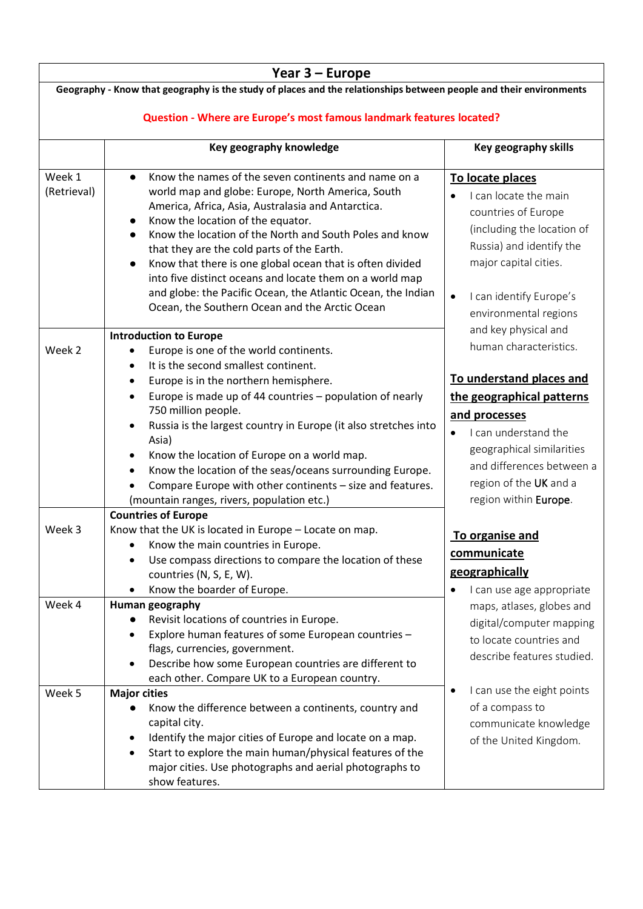| Year 3 - Europe                                                                                                    |                                                                                                                                    |                                         |  |  |  |
|--------------------------------------------------------------------------------------------------------------------|------------------------------------------------------------------------------------------------------------------------------------|-----------------------------------------|--|--|--|
| Geography - Know that geography is the study of places and the relationships between people and their environments |                                                                                                                                    |                                         |  |  |  |
|                                                                                                                    |                                                                                                                                    |                                         |  |  |  |
| Question - Where are Europe's most famous landmark features located?                                               |                                                                                                                                    |                                         |  |  |  |
|                                                                                                                    | Key geography knowledge                                                                                                            | Key geography skills                    |  |  |  |
|                                                                                                                    |                                                                                                                                    |                                         |  |  |  |
| Week 1                                                                                                             | Know the names of the seven continents and name on a<br>$\bullet$                                                                  | To locate places                        |  |  |  |
| (Retrieval)                                                                                                        | world map and globe: Europe, North America, South                                                                                  | I can locate the main                   |  |  |  |
|                                                                                                                    | America, Africa, Asia, Australasia and Antarctica.<br>Know the location of the equator.                                            | countries of Europe                     |  |  |  |
|                                                                                                                    | $\bullet$<br>Know the location of the North and South Poles and know<br>$\bullet$                                                  | (including the location of              |  |  |  |
|                                                                                                                    | that they are the cold parts of the Earth.                                                                                         | Russia) and identify the                |  |  |  |
|                                                                                                                    | Know that there is one global ocean that is often divided<br>$\bullet$                                                             | major capital cities.                   |  |  |  |
|                                                                                                                    | into five distinct oceans and locate them on a world map                                                                           |                                         |  |  |  |
|                                                                                                                    | and globe: the Pacific Ocean, the Atlantic Ocean, the Indian                                                                       | I can identify Europe's                 |  |  |  |
|                                                                                                                    | Ocean, the Southern Ocean and the Arctic Ocean                                                                                     | environmental regions                   |  |  |  |
|                                                                                                                    |                                                                                                                                    |                                         |  |  |  |
|                                                                                                                    | <b>Introduction to Europe</b>                                                                                                      | and key physical and                    |  |  |  |
| Week 2                                                                                                             | Europe is one of the world continents.                                                                                             | human characteristics.                  |  |  |  |
|                                                                                                                    | It is the second smallest continent.                                                                                               |                                         |  |  |  |
|                                                                                                                    | Europe is in the northern hemisphere.                                                                                              | To understand places and                |  |  |  |
|                                                                                                                    | Europe is made up of 44 countries - population of nearly                                                                           | the geographical patterns               |  |  |  |
|                                                                                                                    | 750 million people.                                                                                                                | and processes                           |  |  |  |
|                                                                                                                    | Russia is the largest country in Europe (it also stretches into                                                                    | I can understand the                    |  |  |  |
|                                                                                                                    | Asia)                                                                                                                              | geographical similarities               |  |  |  |
|                                                                                                                    | Know the location of Europe on a world map.<br>٠                                                                                   | and differences between a               |  |  |  |
|                                                                                                                    | Know the location of the seas/oceans surrounding Europe.<br>$\bullet$<br>Compare Europe with other continents - size and features. | region of the UK and a                  |  |  |  |
|                                                                                                                    | (mountain ranges, rivers, population etc.)                                                                                         | region within Europe.                   |  |  |  |
|                                                                                                                    | <b>Countries of Europe</b>                                                                                                         |                                         |  |  |  |
| Week 3                                                                                                             | Know that the UK is located in Europe - Locate on map.                                                                             |                                         |  |  |  |
|                                                                                                                    | Know the main countries in Europe.                                                                                                 | To organise and                         |  |  |  |
|                                                                                                                    | Use compass directions to compare the location of these                                                                            | communicate                             |  |  |  |
|                                                                                                                    | countries (N, S, E, W).                                                                                                            | geographically                          |  |  |  |
|                                                                                                                    | Know the boarder of Europe.                                                                                                        | I can use age appropriate               |  |  |  |
| Week 4                                                                                                             | Human geography                                                                                                                    | maps, atlases, globes and               |  |  |  |
|                                                                                                                    | Revisit locations of countries in Europe.                                                                                          | digital/computer mapping                |  |  |  |
|                                                                                                                    | Explore human features of some European countries -                                                                                | to locate countries and                 |  |  |  |
|                                                                                                                    | flags, currencies, government.                                                                                                     | describe features studied.              |  |  |  |
|                                                                                                                    | Describe how some European countries are different to                                                                              |                                         |  |  |  |
|                                                                                                                    | each other. Compare UK to a European country.                                                                                      |                                         |  |  |  |
| Week 5                                                                                                             | <b>Major cities</b>                                                                                                                | I can use the eight points<br>$\bullet$ |  |  |  |
|                                                                                                                    | Know the difference between a continents, country and<br>$\bullet$                                                                 | of a compass to                         |  |  |  |
|                                                                                                                    | capital city.                                                                                                                      | communicate knowledge                   |  |  |  |
|                                                                                                                    | Identify the major cities of Europe and locate on a map.                                                                           | of the United Kingdom.                  |  |  |  |
|                                                                                                                    | Start to explore the main human/physical features of the                                                                           |                                         |  |  |  |
|                                                                                                                    | major cities. Use photographs and aerial photographs to                                                                            |                                         |  |  |  |
|                                                                                                                    | show features.                                                                                                                     |                                         |  |  |  |